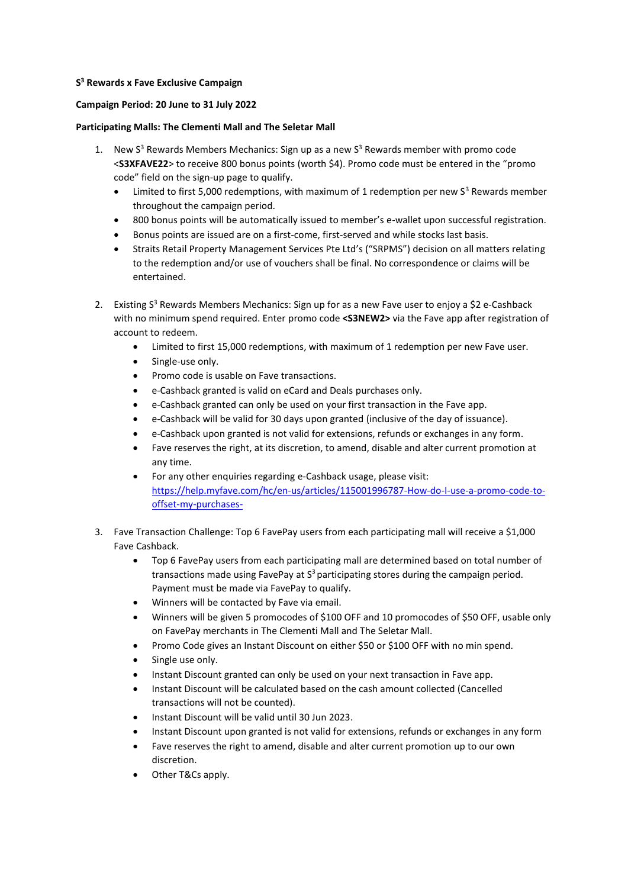## **S <sup>3</sup> Rewards x Fave Exclusive Campaign**

## **Campaign Period: 20 June to 31 July 2022**

## **Participating Malls: The Clementi Mall and The Seletar Mall**

- 1. New  $S<sup>3</sup>$  Rewards Members Mechanics: Sign up as a new  $S<sup>3</sup>$  Rewards member with promo code <**S3XFAVE22**> to receive 800 bonus points (worth \$4). Promo code must be entered in the "promo code" field on the sign-up page to qualify.
	- Limited to first 5,000 redemptions, with maximum of 1 redemption per new  $S<sup>3</sup>$  Rewards member throughout the campaign period.
	- 800 bonus points will be automatically issued to member's e-wallet upon successful registration.
	- Bonus points are issued are on a first-come, first-served and while stocks last basis.
	- Straits Retail Property Management Services Pte Ltd's ("SRPMS") decision on all matters relating to the redemption and/or use of vouchers shall be final. No correspondence or claims will be entertained.
- 2. Existing  $S<sup>3</sup>$  Rewards Members Mechanics: Sign up for as a new Fave user to enjoy a \$2 e-Cashback with no minimum spend required. Enter promo code **<S3NEW2>** via the Fave app after registration of account to redeem.
	- Limited to first 15,000 redemptions, with maximum of 1 redemption per new Fave user.
	- Single-use only.
	- Promo code is usable on Fave transactions.
	- e-Cashback granted is valid on eCard and Deals purchases only.
	- e-Cashback granted can only be used on your first transaction in the Fave app.
	- e-Cashback will be valid for 30 days upon granted (inclusive of the day of issuance).
	- e-Cashback upon granted is not valid for extensions, refunds or exchanges in any form.
	- Fave reserves the right, at its discretion, to amend, disable and alter current promotion at any time.
	- For any other enquiries regarding e-Cashback usage, please visit: [https://help.myfave.com/hc/en-us/articles/115001996787-How-do-I-use-a-promo-code-to](https://help.myfave.com/hc/en-us/articles/115001996787-How-do-I-use-a-promo-code-to-offset-my-purchases-)[offset-my-purchases-](https://help.myfave.com/hc/en-us/articles/115001996787-How-do-I-use-a-promo-code-to-offset-my-purchases-)
- 3. Fave Transaction Challenge: Top 6 FavePay users from each participating mall will receive a \$1,000 Fave Cashback.
	- Top 6 FavePay users from each participating mall are determined based on total number of transactions made using FavePay at  $S<sup>3</sup>$  participating stores during the campaign period. Payment must be made via FavePay to qualify.
	- Winners will be contacted by Fave via email.
	- Winners will be given 5 promocodes of \$100 OFF and 10 promocodes of \$50 OFF, usable only on FavePay merchants in The Clementi Mall and The Seletar Mall.
	- Promo Code gives an Instant Discount on either \$50 or \$100 OFF with no min spend.
	- Single use only.
	- Instant Discount granted can only be used on your next transaction in Fave app.
	- Instant Discount will be calculated based on the cash amount collected (Cancelled transactions will not be counted).
	- Instant Discount will be valid until 30 Jun 2023.
	- Instant Discount upon granted is not valid for extensions, refunds or exchanges in any form
	- Fave reserves the right to amend, disable and alter current promotion up to our own discretion.
	- Other T&Cs apply.